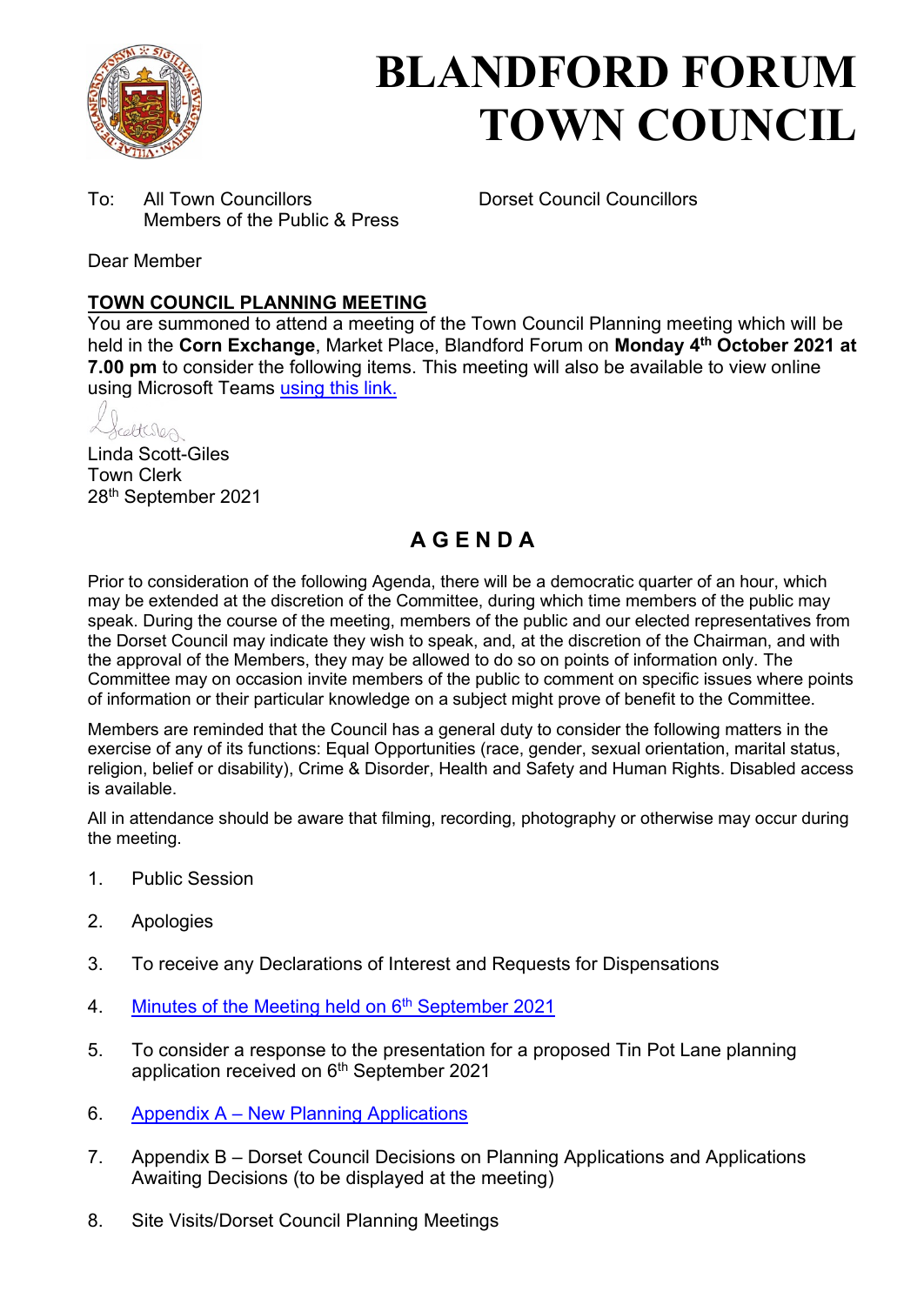

# **BLANDFORD FORUM TOWN COUNCIL**

To: All Town Councillors Dorset Council Councillors Members of the Public & Press

Dear Member

#### **TOWN COUNCIL PLANNING MEETING**

You are summoned to attend a meeting of the Town Council Planning meeting which will be held in the **Corn Exchange**, Market Place, Blandford Forum on **Monday 4th October 2021 at 7.00 pm** to consider the following items. This meeting will also be available to view online using Microsoft Teams [using this link.](https://teams.microsoft.com/l/meetup-join/19%3a2cb1b1f9de074efdad40308940ab9ba0%40thread.tacv2/1627294360598?context=%7b%22Tid%22%3a%223cd8f2fb-4c45-4162-86f1-fb87b5f6a138%22%2c%22Oid%22%3a%2265e5950c-ab1c-41cc-9090-4a755c733f54%22%7d)

elteres

Linda Scott-Giles Town Clerk 28th September 2021

## **A G E N D A**

Prior to consideration of the following Agenda, there will be a democratic quarter of an hour, which may be extended at the discretion of the Committee, during which time members of the public may speak. During the course of the meeting, members of the public and our elected representatives from the Dorset Council may indicate they wish to speak, and, at the discretion of the Chairman, and with the approval of the Members, they may be allowed to do so on points of information only. The Committee may on occasion invite members of the public to comment on specific issues where points of information or their particular knowledge on a subject might prove of benefit to the Committee.

Members are reminded that the Council has a general duty to consider the following matters in the exercise of any of its functions: Equal Opportunities (race, gender, sexual orientation, marital status, religion, belief or disability), Crime & Disorder, Health and Safety and Human Rights. Disabled access is available.

All in attendance should be aware that filming, recording, photography or otherwise may occur during the meeting.

- 1. Public Session
- 2. Apologies
- 3. To receive any Declarations of Interest and Requests for Dispensations
- 4. [Minutes of the Meeting held on 6](https://blandfordforum-tc.gov.uk/wp-content/uploads/2021/09/060921.pdf)<sup>th</sup> September 2021
- 5. To consider a response to the presentation for a proposed Tin Pot Lane planning application received on 6<sup>th</sup> September 2021
- 6. Appendix A – [New Planning Applications](#page-2-0)
- 7. Appendix B Dorset Council Decisions on Planning Applications and Applications Awaiting Decisions (to be displayed at the meeting)
- 8. Site Visits/Dorset Council Planning Meetings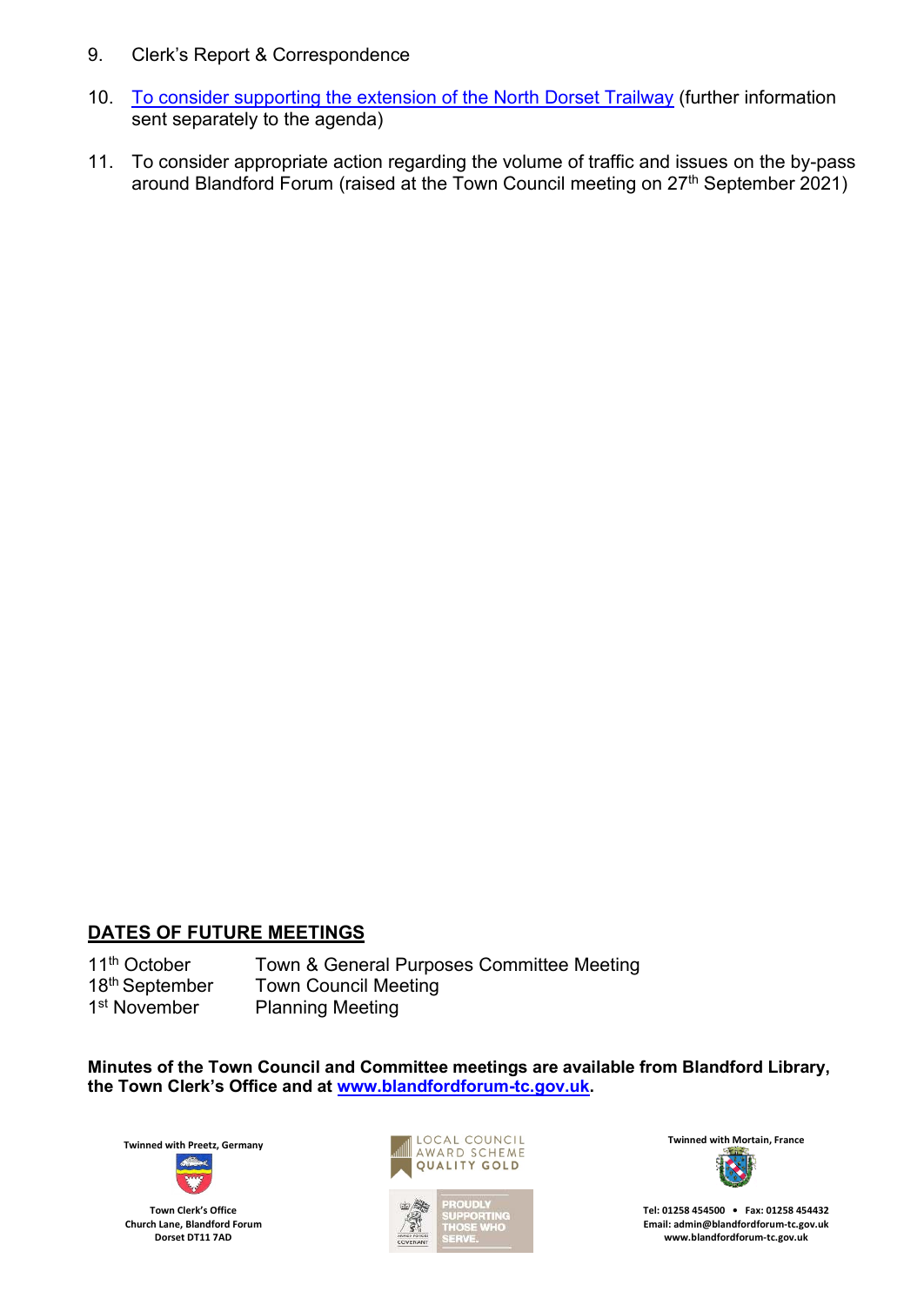- 9. Clerk's Report & Correspondence
- 10. [To consider supporting the extension of the North Dorset Trailway](#page-5-0) (further information sent separately to the agenda)
- 11. To consider appropriate action regarding the volume of traffic and issues on the by-pass around Blandford Forum (raised at the Town Council meeting on  $27<sup>th</sup>$  September 2021)

### **DATES OF FUTURE MEETINGS**

11<sup>th</sup> October Town & General Purposes Committee Meeting<br>18<sup>th</sup> September Town Council Meeting **Town Council Meeting** 1<sup>st</sup> November Planning Meeting

**Minutes of the Town Council and Committee meetings are available from Blandford Library, the Town Clerk's Office and at [www.blandfordforum-tc.gov.uk.](http://www.blandfordforum-tc.gov.uk/)** 



**Town Clerk's Office Church Lane, Blandford Forum Dorset DT11 7AD**





**Tel: 01258 454500 • Fax: 01258 454432 Email: admin@blandfordforum-tc.gov.uk [www.blandfordforum-tc.gov.uk](http://www.blandfordforum-tc.gov.uk/)**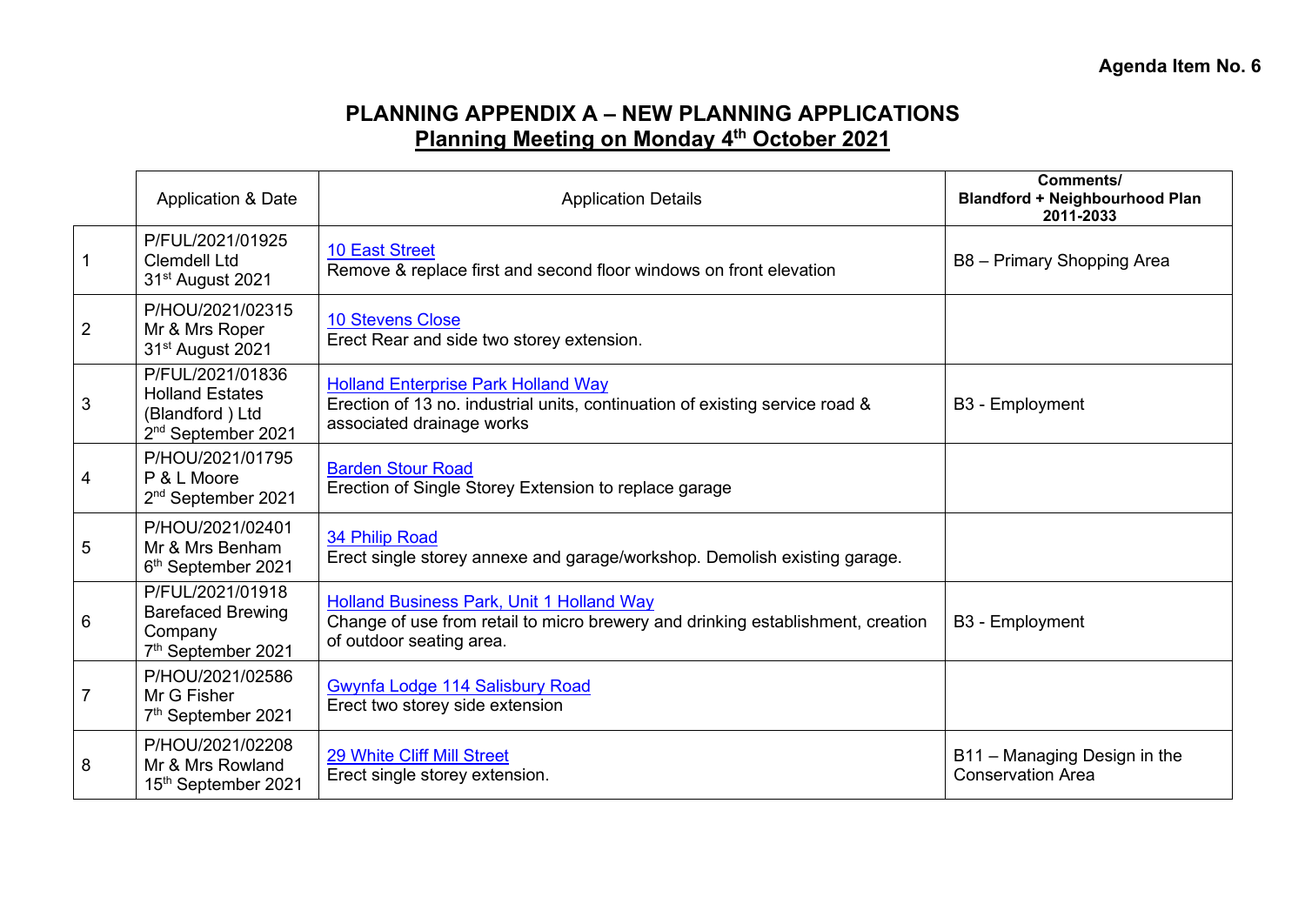## **PLANNING APPENDIX A – NEW PLANNING APPLICATIONS Planning Meeting on Monday 4th October 2021**

<span id="page-2-0"></span>

|                | <b>Application &amp; Date</b>                                                                   | <b>Application Details</b>                                                                                                                                      | <b>Comments/</b><br><b>Blandford + Neighbourhood Plan</b><br>2011-2033 |
|----------------|-------------------------------------------------------------------------------------------------|-----------------------------------------------------------------------------------------------------------------------------------------------------------------|------------------------------------------------------------------------|
|                | P/FUL/2021/01925<br><b>Clemdell Ltd</b><br>31 <sup>st</sup> August 2021                         | <b>10 East Street</b><br>Remove & replace first and second floor windows on front elevation                                                                     | B8 - Primary Shopping Area                                             |
| $\overline{2}$ | P/HOU/2021/02315<br>Mr & Mrs Roper<br>31 <sup>st</sup> August 2021                              | <b>10 Stevens Close</b><br>Erect Rear and side two storey extension.                                                                                            |                                                                        |
| 3              | P/FUL/2021/01836<br><b>Holland Estates</b><br>(Blandford) Ltd<br>2 <sup>nd</sup> September 2021 | <b>Holland Enterprise Park Holland Way</b><br>Erection of 13 no. industrial units, continuation of existing service road &<br>associated drainage works         | B3 - Employment                                                        |
| 4              | P/HOU/2021/01795<br>P & L Moore<br>2 <sup>nd</sup> September 2021                               | <b>Barden Stour Road</b><br>Erection of Single Storey Extension to replace garage                                                                               |                                                                        |
| 5              | P/HOU/2021/02401<br>Mr & Mrs Benham<br>6 <sup>th</sup> September 2021                           | 34 Philip Road<br>Erect single storey annexe and garage/workshop. Demolish existing garage.                                                                     |                                                                        |
| 6              | P/FUL/2021/01918<br><b>Barefaced Brewing</b><br>Company<br>7 <sup>th</sup> September 2021       | <b>Holland Business Park, Unit 1 Holland Way</b><br>Change of use from retail to micro brewery and drinking establishment, creation<br>of outdoor seating area. | B3 - Employment                                                        |
|                | P/HOU/2021/02586<br>Mr G Fisher<br>7th September 2021                                           | Gwynfa Lodge 114 Salisbury Road<br>Erect two storey side extension                                                                                              |                                                                        |
| 8              | P/HOU/2021/02208<br>Mr & Mrs Rowland<br>15th September 2021                                     | 29 White Cliff Mill Street<br>Erect single storey extension.                                                                                                    | B11 - Managing Design in the<br><b>Conservation Area</b>               |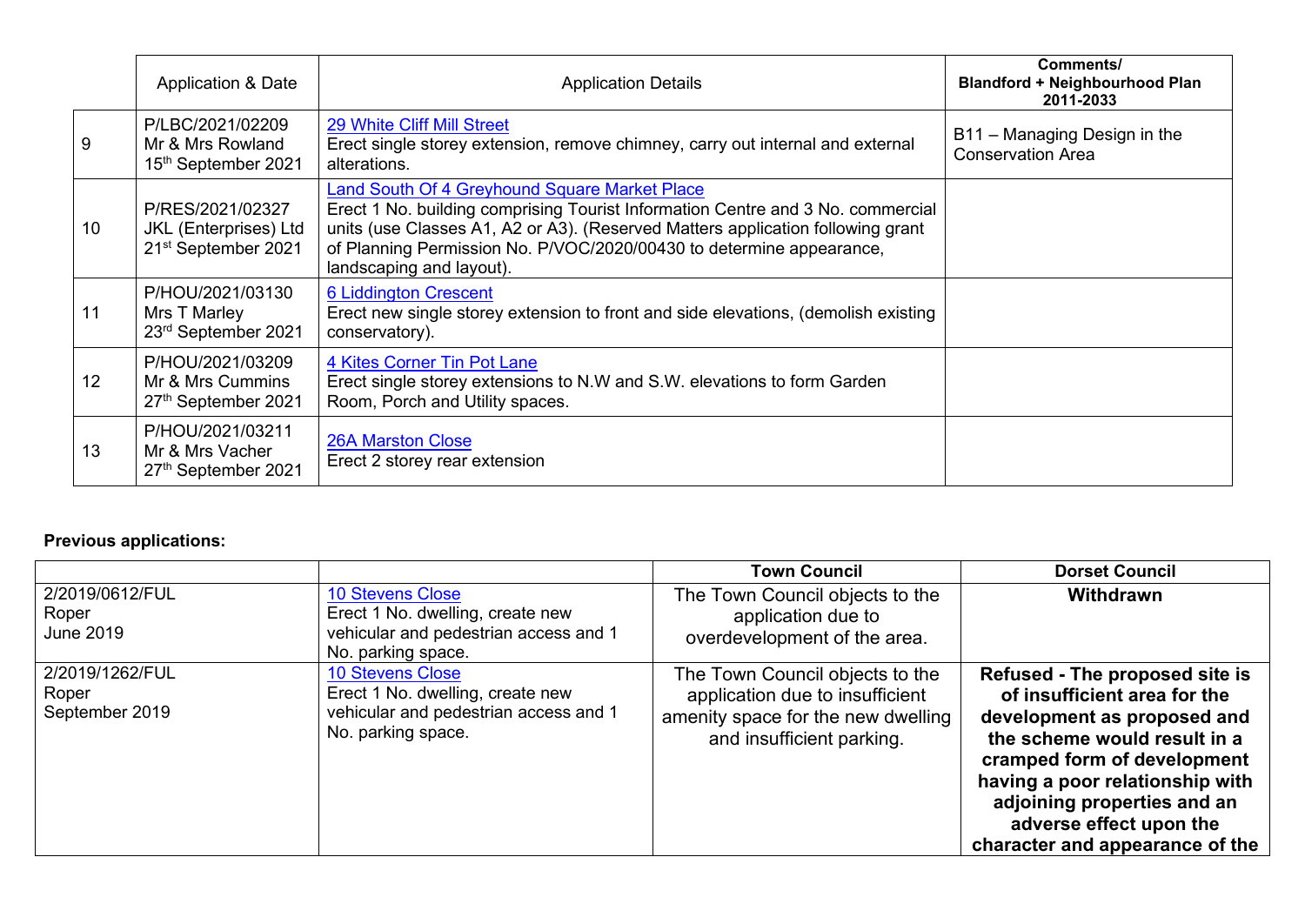|                 | <b>Application &amp; Date</b>                                                | <b>Application Details</b>                                                                                                                                                                                                                                                                                              | Comments/<br><b>Blandford + Neighbourhood Plan</b><br>2011-2033 |
|-----------------|------------------------------------------------------------------------------|-------------------------------------------------------------------------------------------------------------------------------------------------------------------------------------------------------------------------------------------------------------------------------------------------------------------------|-----------------------------------------------------------------|
| 9               | P/LBC/2021/02209<br>Mr & Mrs Rowland<br>15th September 2021                  | 29 White Cliff Mill Street<br>Erect single storey extension, remove chimney, carry out internal and external<br>alterations.                                                                                                                                                                                            | B11 - Managing Design in the<br><b>Conservation Area</b>        |
| 10              | P/RES/2021/02327<br>JKL (Enterprises) Ltd<br>21 <sup>st</sup> September 2021 | Land South Of 4 Greyhound Square Market Place<br>Erect 1 No. building comprising Tourist Information Centre and 3 No. commercial<br>units (use Classes A1, A2 or A3). (Reserved Matters application following grant<br>of Planning Permission No. P/VOC/2020/00430 to determine appearance,<br>landscaping and layout). |                                                                 |
| 11              | P/HOU/2021/03130<br>Mrs T Marley<br>23rd September 2021                      | <b>6 Liddington Crescent</b><br>Erect new single storey extension to front and side elevations, (demolish existing<br>conservatory).                                                                                                                                                                                    |                                                                 |
| 12 <sup>2</sup> | P/HOU/2021/03209<br>Mr & Mrs Cummins<br>27th September 2021                  | 4 Kites Corner Tin Pot Lane<br>Erect single storey extensions to N.W and S.W. elevations to form Garden<br>Room, Porch and Utility spaces.                                                                                                                                                                              |                                                                 |
| 13              | P/HOU/2021/03211<br>Mr & Mrs Vacher<br>27th September 2021                   | <b>26A Marston Close</b><br>Erect 2 storey rear extension                                                                                                                                                                                                                                                               |                                                                 |

## **Previous applications:**

|                                              |                                                                                                                            | <b>Town Council</b>                                                                                                                   | <b>Dorset Council</b>                                                                                                                                                                                                                                                                        |
|----------------------------------------------|----------------------------------------------------------------------------------------------------------------------------|---------------------------------------------------------------------------------------------------------------------------------------|----------------------------------------------------------------------------------------------------------------------------------------------------------------------------------------------------------------------------------------------------------------------------------------------|
| 2/2019/0612/FUL<br>Roper<br><b>June 2019</b> | <b>10 Stevens Close</b><br>Erect 1 No. dwelling, create new<br>vehicular and pedestrian access and 1<br>No. parking space. | The Town Council objects to the<br>application due to<br>overdevelopment of the area.                                                 | Withdrawn                                                                                                                                                                                                                                                                                    |
| 2/2019/1262/FUL<br>Roper<br>September 2019   | <b>10 Stevens Close</b><br>Erect 1 No. dwelling, create new<br>vehicular and pedestrian access and 1<br>No. parking space. | The Town Council objects to the<br>application due to insufficient<br>amenity space for the new dwelling<br>and insufficient parking. | Refused - The proposed site is<br>of insufficient area for the<br>development as proposed and<br>the scheme would result in a<br>cramped form of development<br>having a poor relationship with<br>adjoining properties and an<br>adverse effect upon the<br>character and appearance of the |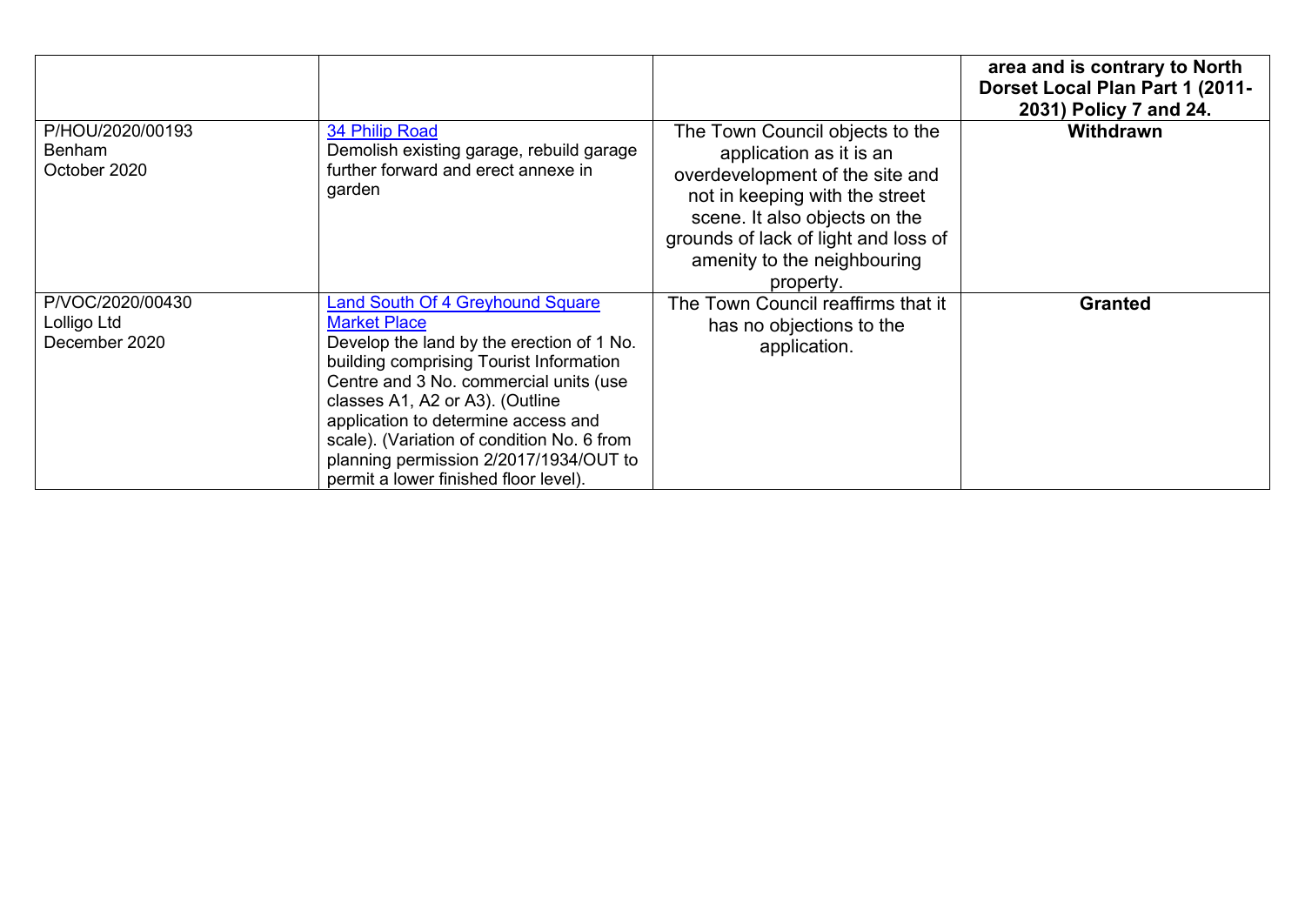|                                                   |                                                                                                                                                                                                                                                                                                                                                                                                             |                                                                                                                                                                                                                                                      | area and is contrary to North<br>Dorset Local Plan Part 1 (2011-<br>2031) Policy 7 and 24. |
|---------------------------------------------------|-------------------------------------------------------------------------------------------------------------------------------------------------------------------------------------------------------------------------------------------------------------------------------------------------------------------------------------------------------------------------------------------------------------|------------------------------------------------------------------------------------------------------------------------------------------------------------------------------------------------------------------------------------------------------|--------------------------------------------------------------------------------------------|
| P/HOU/2020/00193<br><b>Benham</b><br>October 2020 | 34 Philip Road<br>Demolish existing garage, rebuild garage<br>further forward and erect annexe in<br>garden                                                                                                                                                                                                                                                                                                 | The Town Council objects to the<br>application as it is an<br>overdevelopment of the site and<br>not in keeping with the street<br>scene. It also objects on the<br>grounds of lack of light and loss of<br>amenity to the neighbouring<br>property. | <b>Withdrawn</b>                                                                           |
| P/VOC/2020/00430<br>Lolligo Ltd<br>December 2020  | <b>Land South Of 4 Greyhound Square</b><br><b>Market Place</b><br>Develop the land by the erection of 1 No.<br>building comprising Tourist Information<br>Centre and 3 No. commercial units (use<br>classes A1, A2 or A3). (Outline<br>application to determine access and<br>scale). (Variation of condition No. 6 from<br>planning permission 2/2017/1934/OUT to<br>permit a lower finished floor level). | The Town Council reaffirms that it<br>has no objections to the<br>application.                                                                                                                                                                       | <b>Granted</b>                                                                             |